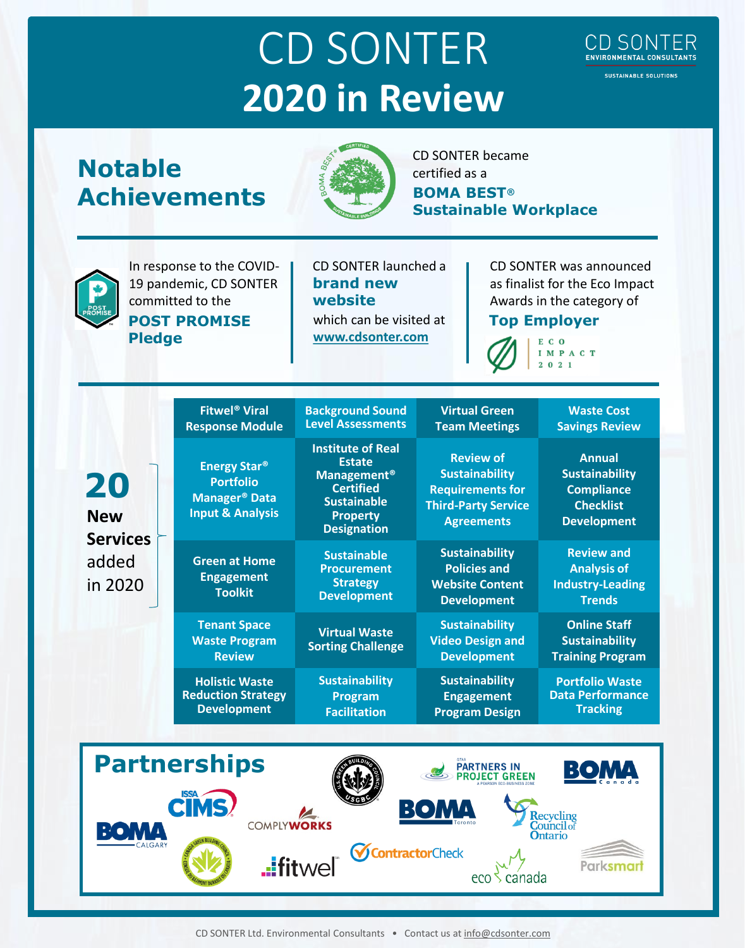## CD SONTER **2020 in Review**

## **Notable Achievements**



CD SONTER became certified as a **BOMA BEST® Sustainable Workplace** 



In response to the COVID-19 pandemic, CD SONTER committed to the **POST PROMISE Pledge**

CD SONTER launched a **brand new website** which can be visited at

**[www.cdsonter.com](http://www.cdsonter.com/)**

CD SONTER was announced as finalist for the Eco Impact Awards in the category of

> I M P A C T  $2021$

**CD SONTER** ENVIRONMENTAL CONSULTANTS **SUSTAINABLE SOLUTIONS** 

**Top Employer**  $C<sub>o</sub>$ Ē